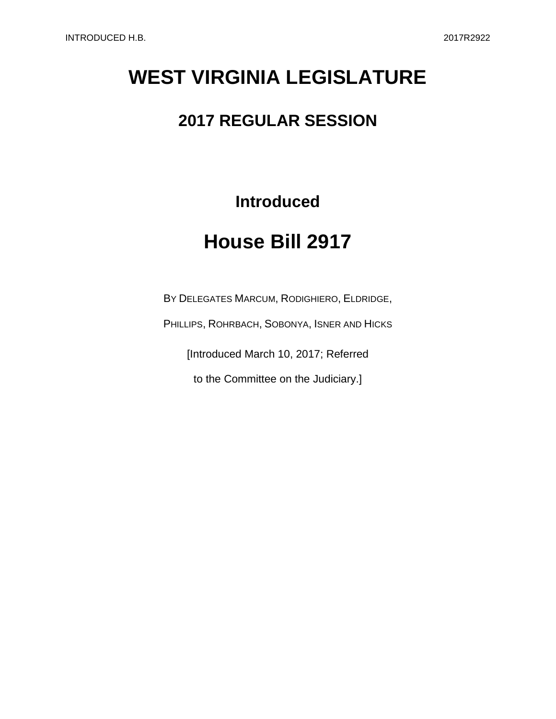## **WEST VIRGINIA LEGISLATURE**

## **2017 REGULAR SESSION**

**Introduced**

## **House Bill 2917**

BY DELEGATES MARCUM, RODIGHIERO, ELDRIDGE,

PHILLIPS, ROHRBACH, SOBONYA, ISNER AND HICKS

[Introduced March 10, 2017; Referred

to the Committee on the Judiciary.]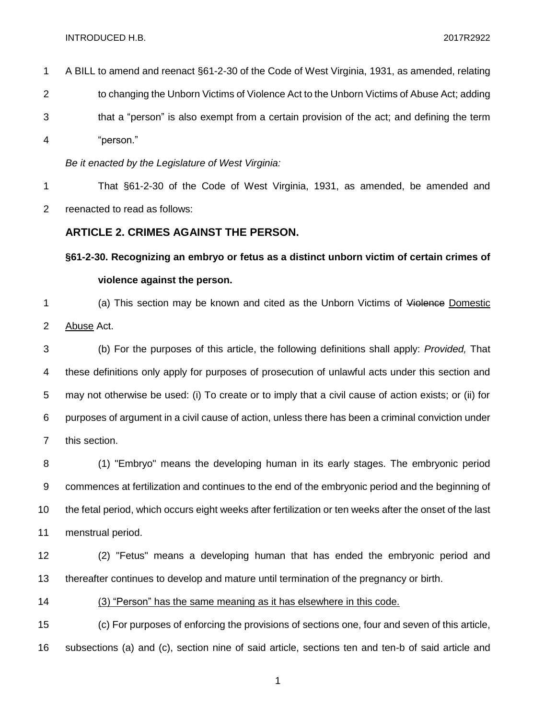INTRODUCED H.B. 2017R2922

| $\mathbf{1}$   | A BILL to amend and reenact §61-2-30 of the Code of West Virginia, 1931, as amended, relating    |
|----------------|--------------------------------------------------------------------------------------------------|
| $\overline{2}$ | to changing the Unborn Victims of Violence Act to the Unborn Victims of Abuse Act; adding        |
| 3              | that a "person" is also exempt from a certain provision of the act; and defining the term        |
| 4              | "person."                                                                                        |
|                | Be it enacted by the Legislature of West Virginia:                                               |
| $\mathbf 1$    | That §61-2-30 of the Code of West Virginia, 1931, as amended, be amended and                     |
| $\overline{2}$ | reenacted to read as follows:                                                                    |
|                | <b>ARTICLE 2. CRIMES AGAINST THE PERSON.</b>                                                     |
|                | §61-2-30. Recognizing an embryo or fetus as a distinct unborn victim of certain crimes of        |
|                | violence against the person.                                                                     |
| 1              | (a) This section may be known and cited as the Unborn Victims of Violence Domestic               |
| $\overline{2}$ | Abuse Act.                                                                                       |
| 2              | (b) For the purposes of this article the following definitions shall apply: <i>Drovided</i> That |

 (b) For the purposes of this article, the following definitions shall apply: *Provided,* That these definitions only apply for purposes of prosecution of unlawful acts under this section and may not otherwise be used: (i) To create or to imply that a civil cause of action exists; or (ii) for purposes of argument in a civil cause of action, unless there has been a criminal conviction under this section.

 (1) "Embryo" means the developing human in its early stages. The embryonic period commences at fertilization and continues to the end of the embryonic period and the beginning of the fetal period, which occurs eight weeks after fertilization or ten weeks after the onset of the last menstrual period.

 (2) "Fetus" means a developing human that has ended the embryonic period and thereafter continues to develop and mature until termination of the pregnancy or birth.

(3) "Person" has the same meaning as it has elsewhere in this code.

 (c) For purposes of enforcing the provisions of sections one, four and seven of this article, subsections (a) and (c), section nine of said article, sections ten and ten-b of said article and